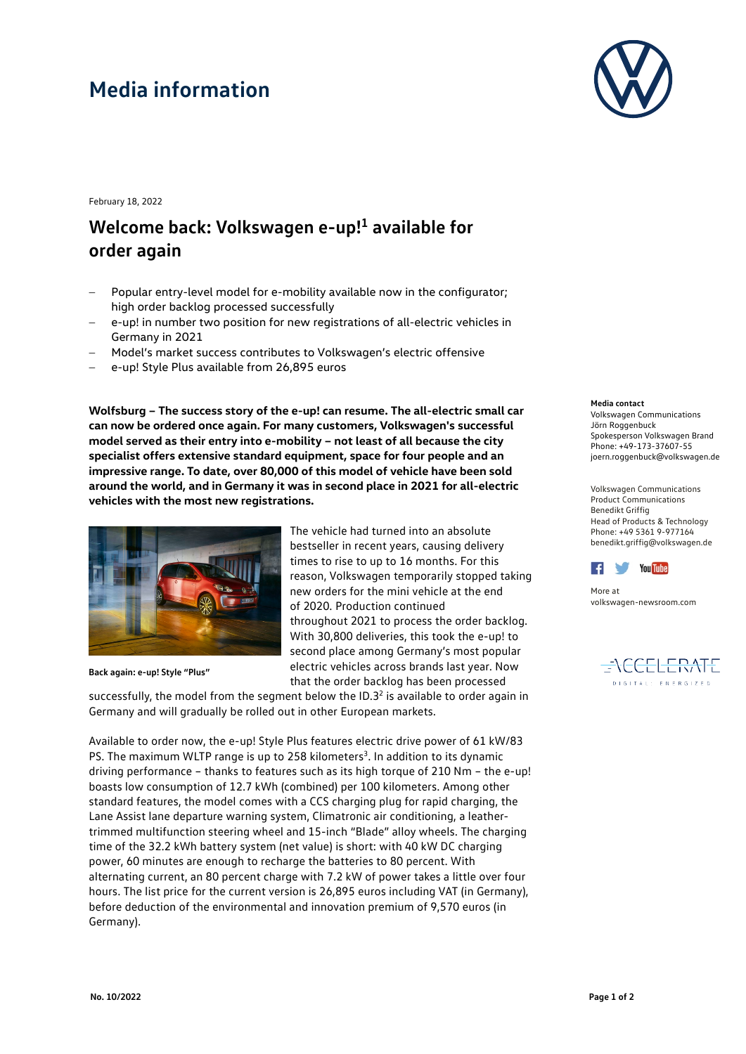## **Media information**



February 18, 2022

## **Welcome back: Volkswagen e-up!1 available for order again**

- Popular entry-level model for e-mobility available now in the configurator; high order backlog processed successfully
- e-up! in number two position for new registrations of all-electric vehicles in Germany in 2021
- − Model's market success contributes to Volkswagen's electric offensive
- − e-up! Style Plus available from 26,895 euros

**Wolfsburg – The success story of the e-up! can resume. The all-electric small car can now be ordered once again. For many customers, Volkswagen's successful model served as their entry into e-mobility – not least of all because the city specialist offers extensive standard equipment, space for four people and an impressive range. To date, over 80,000 of this model of vehicle have been sold around the world, and in Germany it was in second place in 2021 for all-electric vehicles with the most new registrations.**



**Back again: e-up! Style "Plus"**

The vehicle had turned into an absolute bestseller in recent years, causing delivery times to rise to up to 16 months. For this reason, Volkswagen temporarily stopped taking new orders for the mini vehicle at the end of 2020. Production continued throughout 2021 to process the order backlog. With 30,800 deliveries, this took the e-up! to second place among Germany's most popular electric vehicles across brands last year. Now that the order backlog has been processed

successfully, the model from the segment below the  $ID.3<sup>2</sup>$  is available to order again in Germany and will gradually be rolled out in other European markets.

Available to order now, the e-up! Style Plus features electric drive power of 61 kW/83 PS. The maximum WLTP range is up to 258 kilometers<sup>3</sup>. In addition to its dynamic driving performance – thanks to features such as its high torque of 210 Nm – the e-up! boasts low consumption of 12.7 kWh (combined) per 100 kilometers. Among other standard features, the model comes with a CCS charging plug for rapid charging, the Lane Assist lane departure warning system, Climatronic air conditioning, a leathertrimmed multifunction steering wheel and 15-inch "Blade" alloy wheels. The charging time of the 32.2 kWh battery system (net value) is short: with 40 kW DC charging power, 60 minutes are enough to recharge the batteries to 80 percent. With alternating current, an 80 percent charge with 7.2 kW of power takes a little over four hours. The list price for the current version is 26,895 euros including VAT (in Germany), before deduction of the environmental and innovation premium of 9,570 euros (in Germany).

## **Media contact**

Volkswagen Communications Jörn Roggenbuck Spokesperson Volkswagen Brand Phone: +49-173-37607-55 joern.roggenbuck@volkswagen.de

Volkswagen Communications Product Communications Benedikt Griffig Head of Products & Technology Phone: +49 5361 9-977164 benedikt.griffig@volkswagen.de



More at [volkswagen-newsroom.com](https://www.volkswagen-media-services.com/)